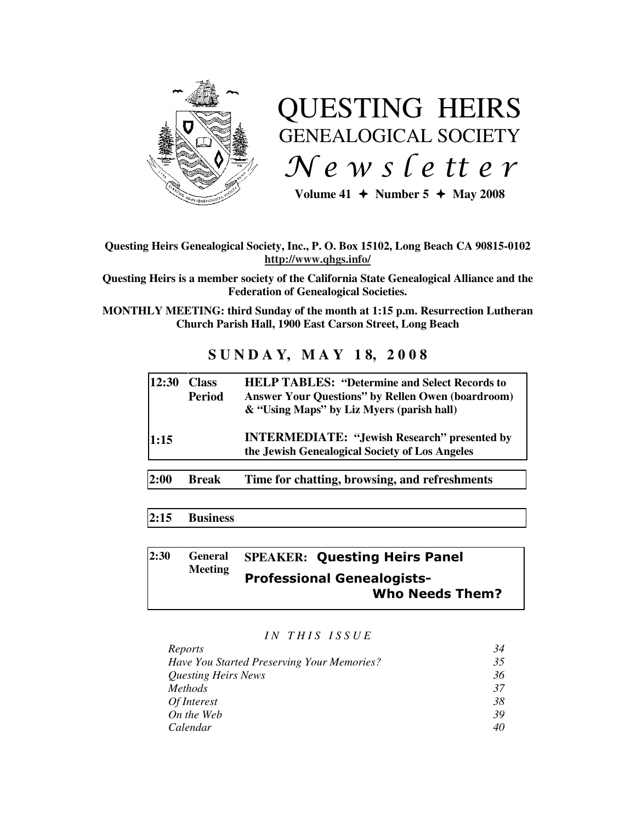

# QUESTING HEIRS GENEALOGICAL SOCIETY  $Ne$  w s letter

Volume  $41 +$  Number  $5 +$  May 2008

# **Questing Heirs Genealogical Society, Inc., P. O. Box 15102, Long Beach CA 90815-0102 http://www.qhgs.info/**

**Questing Heirs is a member society of the California State Genealogical Alliance and the Federation of Genealogical Societies.** 

**MONTHLY MEETING: third Sunday of the month at 1:15 p.m. Resurrection Lutheran Church Parish Hall, 1900 East Carson Street, Long Beach** 

# **S U N D A Y, M A Y 1 8, 2 0 0 8**

| 12:30 | <b>Class</b><br><b>Period</b> | <b>HELP TABLES: "Determine and Select Records to</b><br><b>Answer Your Questions" by Rellen Owen (boardroom)</b><br>& "Using Maps" by Liz Myers (parish hall) |  |
|-------|-------------------------------|---------------------------------------------------------------------------------------------------------------------------------------------------------------|--|
| 1:15  |                               | <b>INTERMEDIATE: "Jewish Research" presented by</b><br>the Jewish Genealogical Society of Los Angeles                                                         |  |
|       |                               |                                                                                                                                                               |  |
| 2:00  | <b>Break</b>                  | Time for chatting, browsing, and refreshments                                                                                                                 |  |

# **2:15 Business**

#### **2:30 General Meeting SPEAKER:** Questing Heirs Panel Professional Genealogists- Who Needs Them?

#### *I N T H I S I S S U E*

| Reports                                           | 34 |
|---------------------------------------------------|----|
| <b>Have You Started Preserving Your Memories?</b> | 35 |
| <b>Questing Heirs News</b>                        | 36 |
| <i>Methods</i>                                    | 37 |
| Of Interest                                       | 38 |
| On the Web                                        | 39 |
| Calendar                                          | 40 |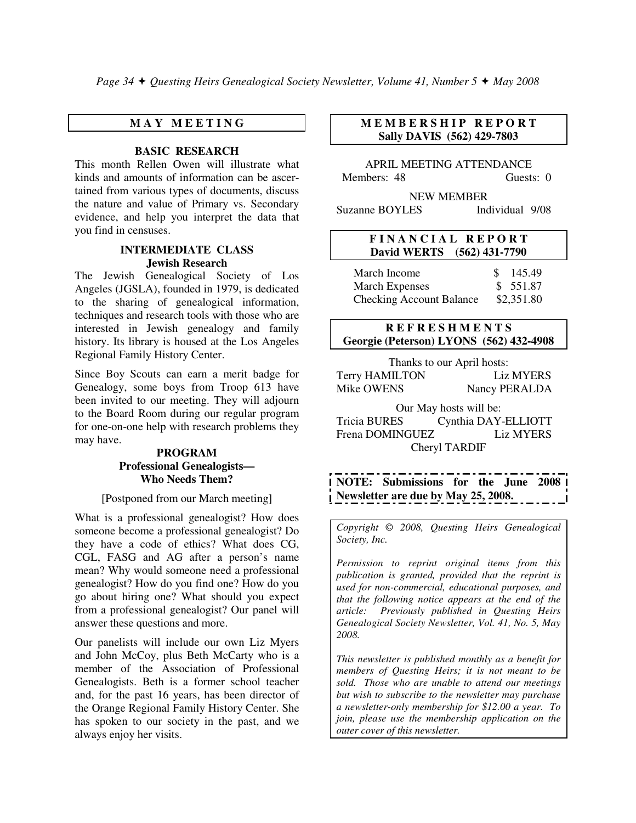# **M A Y M E E T I N G**

# **BASIC RESEARCH**

This month Rellen Owen will illustrate what kinds and amounts of information can be ascertained from various types of documents, discuss the nature and value of Primary vs. Secondary evidence, and help you interpret the data that you find in censuses.

## **INTERMEDIATE CLASS Jewish Research**

The Jewish Genealogical Society of Los Angeles (JGSLA), founded in 1979, is dedicated to the sharing of genealogical information, techniques and research tools with those who are interested in Jewish genealogy and family history. Its library is housed at the Los Angeles Regional Family History Center.

Since Boy Scouts can earn a merit badge for Genealogy, some boys from Troop 613 have been invited to our meeting. They will adjourn to the Board Room during our regular program for one-on-one help with research problems they may have.

## **PROGRAM Professional Genealogists— Who Needs Them?**

## [Postponed from our March meeting]

What is a professional genealogist? How does someone become a professional genealogist? Do they have a code of ethics? What does CG, CGL, FASG and AG after a person's name mean? Why would someone need a professional genealogist? How do you find one? How do you go about hiring one? What should you expect from a professional genealogist? Our panel will answer these questions and more.

Our panelists will include our own Liz Myers and John McCoy, plus Beth McCarty who is a member of the Association of Professional Genealogists. Beth is a former school teacher and, for the past 16 years, has been director of the Orange Regional Family History Center. She has spoken to our society in the past, and we always enjoy her visits.

# **M E M B E R S H I P R E P O R T Sally DAVIS (562) 429-7803**

APRIL MEETING ATTENDANCE Members: 48 Guests: 0

NEW MEMBER Suzanne BOYLES Individual 9/08

## **F I N A N C I A L R E P O R T David WERTS (562) 431-7790**

| March Income                    | \$145.49   |
|---------------------------------|------------|
| <b>March Expenses</b>           | \$ 551.87  |
| <b>Checking Account Balance</b> | \$2,351.80 |

# **R E F R E S H M E N T S Georgie (Peterson) LYONS (562) 432-4908**

Thanks to our April hosts: Terry HAMILTON Liz MYERS Mike OWENS Nancy PERALDA

Our May hosts will be: Tricia BURES Cynthia DAY-ELLIOTT Frena DOMINGUEZ Liz MYERS Cheryl TARDIF

**NOTE: Submissions for the June 2008 Newsletter are due by May 25, 2008.** 

*Copyright* © *2008, Questing Heirs Genealogical Society, Inc.* 

*Permission to reprint original items from this publication is granted, provided that the reprint is used for non-commercial, educational purposes, and that the following notice appears at the end of the article: Previously published in Questing Heirs Genealogical Society Newsletter, Vol. 41, No. 5, May 2008.* 

*This newsletter is published monthly as a benefit for members of Questing Heirs; it is not meant to be sold. Those who are unable to attend our meetings but wish to subscribe to the newsletter may purchase a newsletter-only membership for \$12.00 a year. To join, please use the membership application on the outer cover of this newsletter.*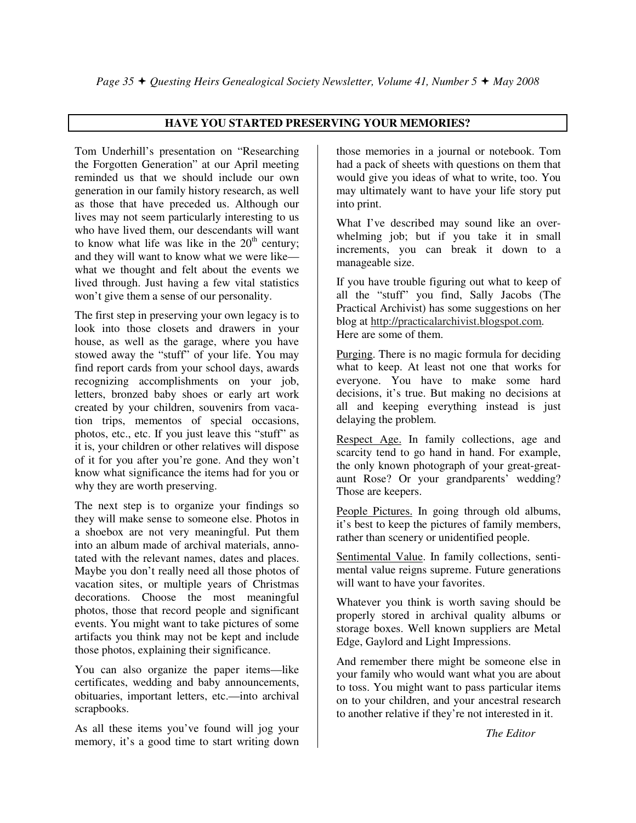# **HAVE YOU STARTED PRESERVING YOUR MEMORIES?**

Tom Underhill's presentation on "Researching the Forgotten Generation" at our April meeting reminded us that we should include our own generation in our family history research, as well as those that have preceded us. Although our lives may not seem particularly interesting to us who have lived them, our descendants will want to know what life was like in the  $20<sup>th</sup>$  century; and they will want to know what we were like what we thought and felt about the events we lived through. Just having a few vital statistics won't give them a sense of our personality.

The first step in preserving your own legacy is to look into those closets and drawers in your house, as well as the garage, where you have stowed away the "stuff" of your life. You may find report cards from your school days, awards recognizing accomplishments on your job, letters, bronzed baby shoes or early art work created by your children, souvenirs from vacation trips, mementos of special occasions, photos, etc., etc. If you just leave this "stuff" as it is, your children or other relatives will dispose of it for you after you're gone. And they won't know what significance the items had for you or why they are worth preserving.

The next step is to organize your findings so they will make sense to someone else. Photos in a shoebox are not very meaningful. Put them into an album made of archival materials, annotated with the relevant names, dates and places. Maybe you don't really need all those photos of vacation sites, or multiple years of Christmas decorations. Choose the most meaningful photos, those that record people and significant events. You might want to take pictures of some artifacts you think may not be kept and include those photos, explaining their significance.

You can also organize the paper items—like certificates, wedding and baby announcements, obituaries, important letters, etc.—into archival scrapbooks.

As all these items you've found will jog your memory, it's a good time to start writing down

those memories in a journal or notebook. Tom had a pack of sheets with questions on them that would give you ideas of what to write, too. You may ultimately want to have your life story put into print.

What I've described may sound like an overwhelming job; but if you take it in small increments, you can break it down to a manageable size.

If you have trouble figuring out what to keep of all the "stuff" you find, Sally Jacobs (The Practical Archivist) has some suggestions on her blog at http://practicalarchivist.blogspot.com. Here are some of them.

Purging. There is no magic formula for deciding what to keep. At least not one that works for everyone. You have to make some hard decisions, it's true. But making no decisions at all and keeping everything instead is just delaying the problem.

Respect Age. In family collections, age and scarcity tend to go hand in hand. For example, the only known photograph of your great-greataunt Rose? Or your grandparents' wedding? Those are keepers.

People Pictures. In going through old albums, it's best to keep the pictures of family members, rather than scenery or unidentified people.

Sentimental Value. In family collections, sentimental value reigns supreme. Future generations will want to have your favorites.

Whatever you think is worth saving should be properly stored in archival quality albums or storage boxes. Well known suppliers are Metal Edge, Gaylord and Light Impressions.

And remember there might be someone else in your family who would want what you are about to toss. You might want to pass particular items on to your children, and your ancestral research to another relative if they're not interested in it.

*The Editor*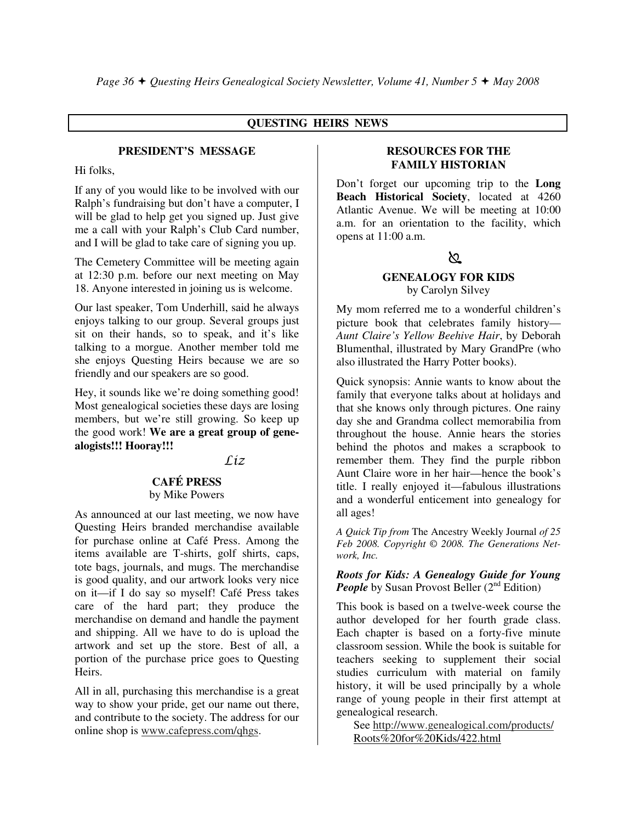# **QUESTING HEIRS NEWS**

## **PRESIDENT'S MESSAGE**

Hi folks,

If any of you would like to be involved with our Ralph's fundraising but don't have a computer, I will be glad to help get you signed up. Just give me a call with your Ralph's Club Card number, and I will be glad to take care of signing you up.

The Cemetery Committee will be meeting again at 12:30 p.m. before our next meeting on May 18. Anyone interested in joining us is welcome.

Our last speaker, Tom Underhill, said he always enjoys talking to our group. Several groups just sit on their hands, so to speak, and it's like talking to a morgue. Another member told me she enjoys Questing Heirs because we are so friendly and our speakers are so good.

Hey, it sounds like we're doing something good! Most genealogical societies these days are losing members, but we're still growing. So keep up the good work! **We are a great group of genealogists!!! Hooray!!!** 

Liz

#### **CAFÉ PRESS**

# by Mike Powers

As announced at our last meeting, we now have Questing Heirs branded merchandise available for purchase online at Café Press. Among the items available are T-shirts, golf shirts, caps, tote bags, journals, and mugs. The merchandise is good quality, and our artwork looks very nice on it—if I do say so myself! Café Press takes care of the hard part; they produce the merchandise on demand and handle the payment and shipping. All we have to do is upload the artwork and set up the store. Best of all, a portion of the purchase price goes to Questing Heirs.

All in all, purchasing this merchandise is a great way to show your pride, get our name out there, and contribute to the society. The address for our online shop is www.cafepress.com/qhgs.

#### **RESOURCES FOR THE FAMILY HISTORIAN**

Don't forget our upcoming trip to the **Long Beach Historical Society**, located at 4260 Atlantic Avenue. We will be meeting at 10:00 a.m. for an orientation to the facility, which opens at 11:00 a.m.

# ১০

# **GENEALOGY FOR KIDS**

by Carolyn Silvey

My mom referred me to a wonderful children's picture book that celebrates family history— *Aunt Claire's Yellow Beehive Hair*, by Deborah Blumenthal, illustrated by Mary GrandPre (who also illustrated the Harry Potter books).

Quick synopsis: Annie wants to know about the family that everyone talks about at holidays and that she knows only through pictures. One rainy day she and Grandma collect memorabilia from throughout the house. Annie hears the stories behind the photos and makes a scrapbook to remember them. They find the purple ribbon Aunt Claire wore in her hair—hence the book's title. I really enjoyed it—fabulous illustrations and a wonderful enticement into genealogy for all ages!

*A Quick Tip from* The Ancestry Weekly Journal *of 25 Feb 2008. Copyright © 2008. The Generations Network, Inc.* 

*Roots for Kids: A Genealogy Guide for Young People* by Susan Provost Beller (2<sup>nd</sup> Edition)

This book is based on a twelve-week course the author developed for her fourth grade class. Each chapter is based on a forty-five minute classroom session. While the book is suitable for teachers seeking to supplement their social studies curriculum with material on family history, it will be used principally by a whole range of young people in their first attempt at genealogical research.

 See http://www.genealogical.com/products/ Roots%20for%20Kids/422.html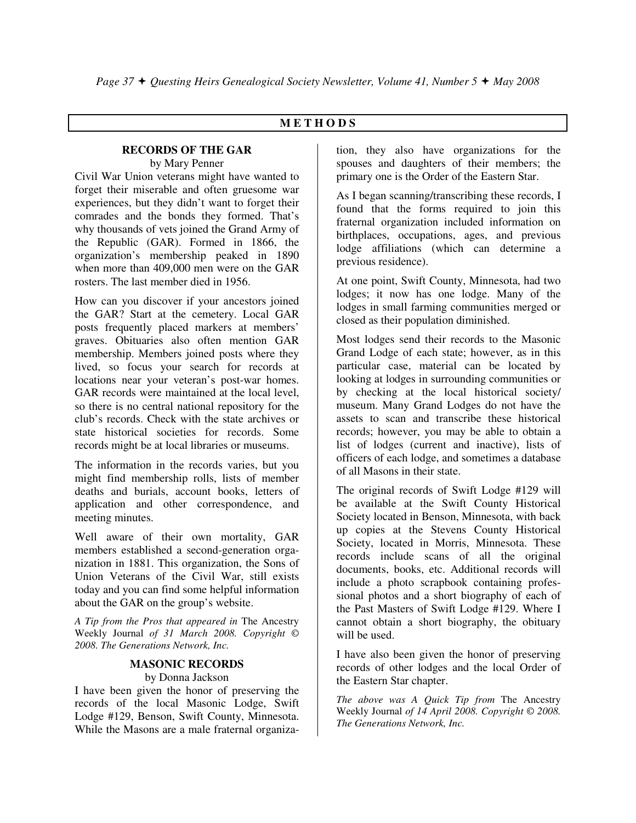# **M E T H O D S**

#### **RECORDS OF THE GAR**  by Mary Penner

Civil War Union veterans might have wanted to forget their miserable and often gruesome war experiences, but they didn't want to forget their comrades and the bonds they formed. That's why thousands of vets joined the Grand Army of the Republic (GAR). Formed in 1866, the organization's membership peaked in 1890 when more than 409,000 men were on the GAR rosters. The last member died in 1956.

How can you discover if your ancestors joined the GAR? Start at the cemetery. Local GAR posts frequently placed markers at members' graves. Obituaries also often mention GAR membership. Members joined posts where they lived, so focus your search for records at locations near your veteran's post-war homes. GAR records were maintained at the local level, so there is no central national repository for the club's records. Check with the state archives or state historical societies for records. Some records might be at local libraries or museums.

The information in the records varies, but you might find membership rolls, lists of member deaths and burials, account books, letters of application and other correspondence, and meeting minutes.

Well aware of their own mortality, GAR members established a second-generation organization in 1881. This organization, the Sons of Union Veterans of the Civil War, still exists today and you can find some helpful information about the GAR on the group's website.

*A Tip from the Pros that appeared in* The Ancestry Weekly Journal *of 31 March 2008. Copyright © 2008. The Generations Network, Inc.* 

# **MASONIC RECORDS**

## by Donna Jackson

I have been given the honor of preserving the records of the local Masonic Lodge, Swift Lodge #129, Benson, Swift County, Minnesota. While the Masons are a male fraternal organization, they also have organizations for the spouses and daughters of their members; the primary one is the Order of the Eastern Star.

As I began scanning/transcribing these records, I found that the forms required to join this fraternal organization included information on birthplaces, occupations, ages, and previous lodge affiliations (which can determine a previous residence).

At one point, Swift County, Minnesota, had two lodges; it now has one lodge. Many of the lodges in small farming communities merged or closed as their population diminished.

Most lodges send their records to the Masonic Grand Lodge of each state; however, as in this particular case, material can be located by looking at lodges in surrounding communities or by checking at the local historical society/ museum. Many Grand Lodges do not have the assets to scan and transcribe these historical records; however, you may be able to obtain a list of lodges (current and inactive), lists of officers of each lodge, and sometimes a database of all Masons in their state.

The original records of Swift Lodge #129 will be available at the Swift County Historical Society located in Benson, Minnesota, with back up copies at the Stevens County Historical Society, located in Morris, Minnesota. These records include scans of all the original documents, books, etc. Additional records will include a photo scrapbook containing professional photos and a short biography of each of the Past Masters of Swift Lodge #129. Where I cannot obtain a short biography, the obituary will be used.

I have also been given the honor of preserving records of other lodges and the local Order of the Eastern Star chapter.

*The above was A Quick Tip from* The Ancestry Weekly Journal *of 14 April 2008. Copyright © 2008. The Generations Network, Inc.*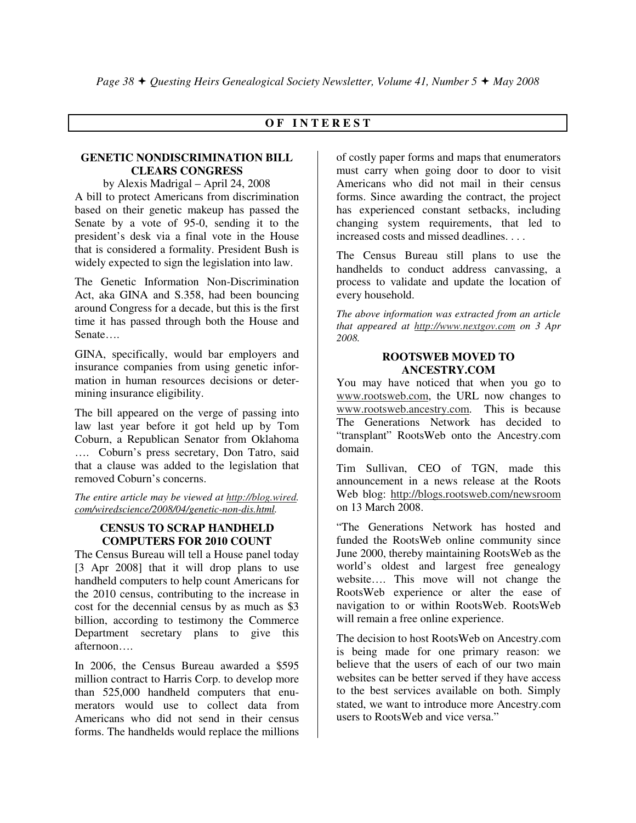# **O F I N T E R E S T**

## **GENETIC NONDISCRIMINATION BILL CLEARS CONGRESS**

by Alexis Madrigal – April 24, 2008 A bill to protect Americans from discrimination based on their genetic makeup has passed the Senate by a vote of 95-0, sending it to the president's desk via a final vote in the House that is considered a formality. President Bush is widely expected to sign the legislation into law.

The Genetic Information Non-Discrimination Act, aka GINA and S.358, had been bouncing around Congress for a decade, but this is the first time it has passed through both the House and Senate….

GINA, specifically, would bar employers and insurance companies from using genetic information in human resources decisions or determining insurance eligibility.

The bill appeared on the verge of passing into law last year before it got held up by Tom Coburn, a Republican Senator from Oklahoma …. Coburn's press secretary, Don Tatro, said that a clause was added to the legislation that removed Coburn's concerns.

*The entire article may be viewed at http://blog.wired. com/wiredscience/2008/04/genetic-non-dis.html.* 

# **CENSUS TO SCRAP HANDHELD COMPUTERS FOR 2010 COUNT**

The Census Bureau will tell a House panel today [3 Apr 2008] that it will drop plans to use handheld computers to help count Americans for the 2010 census, contributing to the increase in cost for the decennial census by as much as \$3 billion, according to testimony the Commerce Department secretary plans to give this afternoon….

In 2006, the Census Bureau awarded a \$595 million contract to Harris Corp. to develop more than 525,000 handheld computers that enumerators would use to collect data from Americans who did not send in their census forms. The handhelds would replace the millions

of costly paper forms and maps that enumerators must carry when going door to door to visit Americans who did not mail in their census forms. Since awarding the contract, the project has experienced constant setbacks, including changing system requirements, that led to increased costs and missed deadlines. . . .

The Census Bureau still plans to use the handhelds to conduct address canvassing, a process to validate and update the location of every household.

*The above information was extracted from an article that appeared at http://www.nextgov.com on 3 Apr 2008.* 

## **ROOTSWEB MOVED TO ANCESTRY.COM**

You may have noticed that when you go to www.rootsweb.com, the URL now changes to www.rootsweb.ancestry.com. This is because The Generations Network has decided to "transplant" RootsWeb onto the Ancestry.com domain.

Tim Sullivan, CEO of TGN, made this announcement in a news release at the Roots Web blog: http://blogs.rootsweb.com/newsroom on 13 March 2008.

"The Generations Network has hosted and funded the RootsWeb online community since June 2000, thereby maintaining RootsWeb as the world's oldest and largest free genealogy website…. This move will not change the RootsWeb experience or alter the ease of navigation to or within RootsWeb. RootsWeb will remain a free online experience.

The decision to host RootsWeb on Ancestry.com is being made for one primary reason: we believe that the users of each of our two main websites can be better served if they have access to the best services available on both. Simply stated, we want to introduce more Ancestry.com users to RootsWeb and vice versa."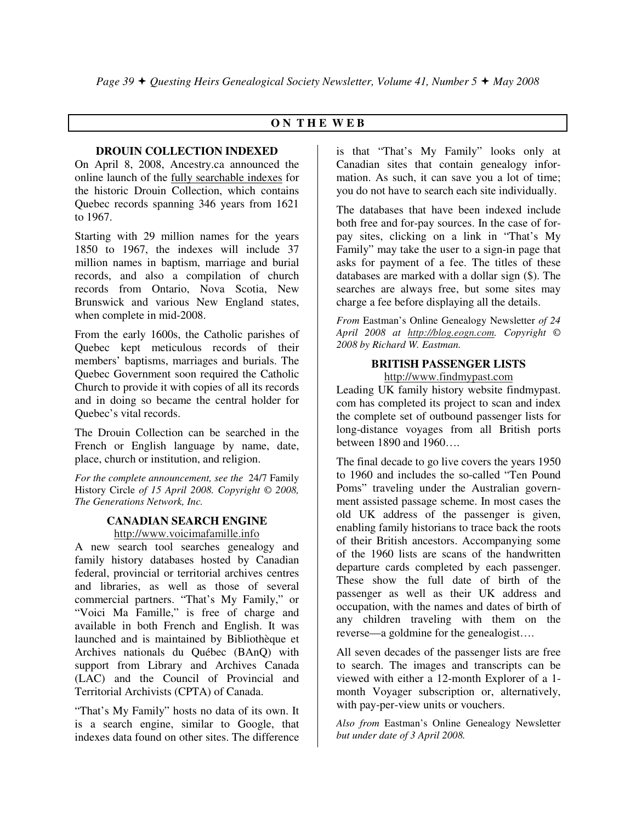# **O N T H E W E B**

# **DROUIN COLLECTION INDEXED**

On April 8, 2008, Ancestry.ca announced the online launch of the fully searchable indexes for the historic Drouin Collection, which contains Quebec records spanning 346 years from 1621 to 1967.

Starting with 29 million names for the years 1850 to 1967, the indexes will include 37 million names in baptism, marriage and burial records, and also a compilation of church records from Ontario, Nova Scotia, New Brunswick and various New England states, when complete in mid-2008.

From the early 1600s, the Catholic parishes of Quebec kept meticulous records of their members' baptisms, marriages and burials. The Quebec Government soon required the Catholic Church to provide it with copies of all its records and in doing so became the central holder for Quebec's vital records.

The Drouin Collection can be searched in the French or English language by name, date, place, church or institution, and religion.

*For the complete announcement, see the* 24/7 Family History Circle *of 15 April 2008. Copyright © 2008, The Generations Network, Inc.* 

## **CANADIAN SEARCH ENGINE**

http://www.voicimafamille.info

A new search tool searches genealogy and family history databases hosted by Canadian federal, provincial or territorial archives centres and libraries, as well as those of several commercial partners. "That's My Family," or "Voici Ma Famille," is free of charge and available in both French and English. It was launched and is maintained by Bibliothèque et Archives nationals du Québec (BAnQ) with support from Library and Archives Canada (LAC) and the Council of Provincial and Territorial Archivists (CPTA) of Canada.

"That's My Family" hosts no data of its own. It is a search engine, similar to Google, that indexes data found on other sites. The difference

is that "That's My Family" looks only at Canadian sites that contain genealogy information. As such, it can save you a lot of time; you do not have to search each site individually.

The databases that have been indexed include both free and for-pay sources. In the case of forpay sites, clicking on a link in "That's My Family" may take the user to a sign-in page that asks for payment of a fee. The titles of these databases are marked with a dollar sign (\$). The searches are always free, but some sites may charge a fee before displaying all the details.

*From* Eastman's Online Genealogy Newsletter *of 24 April 2008 at http://blog.eogn.com. Copyright © 2008 by Richard W. Eastman.* 

# **BRITISH PASSENGER LISTS**

http://www.findmypast.com

Leading UK family history website findmypast. com has completed its project to scan and index the complete set of outbound passenger lists for long-distance voyages from all British ports between 1890 and 1960….

The final decade to go live covers the years 1950 to 1960 and includes the so-called "Ten Pound Poms" traveling under the Australian government assisted passage scheme. In most cases the old UK address of the passenger is given, enabling family historians to trace back the roots of their British ancestors. Accompanying some of the 1960 lists are scans of the handwritten departure cards completed by each passenger. These show the full date of birth of the passenger as well as their UK address and occupation, with the names and dates of birth of any children traveling with them on the reverse—a goldmine for the genealogist….

All seven decades of the passenger lists are free to search. The images and transcripts can be viewed with either a 12-month Explorer of a 1 month Voyager subscription or, alternatively, with pay-per-view units or vouchers.

*Also from* Eastman's Online Genealogy Newsletter *but under date of 3 April 2008.*